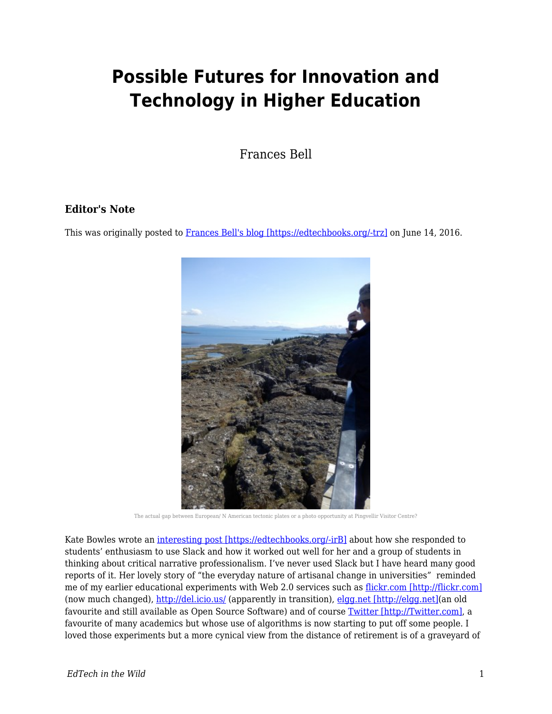# **Possible Futures for Innovation and Technology in Higher Education**

Frances Bell

#### **Editor's Note**

This was originally posted to [Frances Bell's blog \[https://edtechbooks.org/-trz\]](https://francesbell.com/bellblog/possible-futures-for-innovation-and-technology-in-higher-education/) on June 14, 2016.



The actual gap between European/ N American tectonic plates or a photo opportunity at Pingvellir Visitor Centre?

Kate Bowles wrote an [interesting post \[https://edtechbooks.org/-irB\]](http://musicfordeckchairs.com/blog/2016/06/12/content-its-us) about how she responded to students' enthusiasm to use Slack and how it worked out well for her and a group of students in thinking about critical narrative professionalism. I've never used Slack but I have heard many good reports of it. Her lovely story of "the everyday nature of artisanal change in universities" reminded me of my earlier educational experiments with Web 2.0 services such as [flickr.com \[http://flickr.com\]](http://flickr.com) (now much changed),<http://del.icio.us/>(apparently in transition), [elgg.net \[http://elgg.net\]](http://elgg.net)(an old favourite and still available as Open Source Software) and of course [Twitter \[http://Twitter.com\],](http://Twitter.com) a favourite of many academics but whose use of algorithms is now starting to put off some people. I loved those experiments but a more cynical view from the distance of retirement is of a graveyard of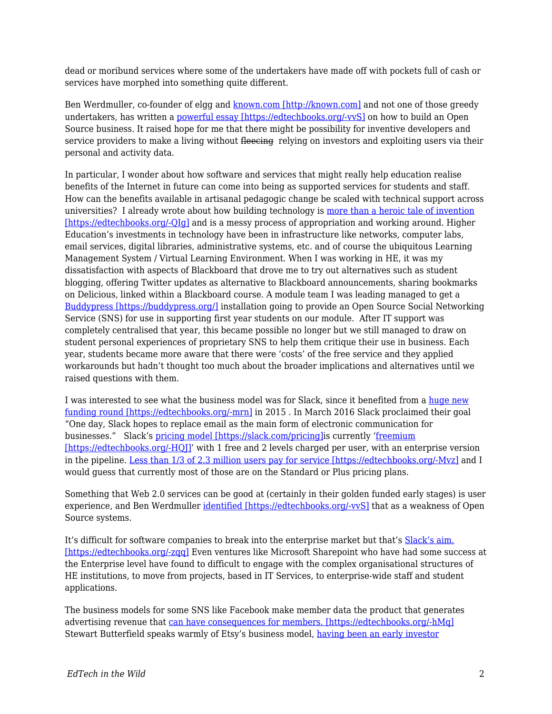dead or moribund services where some of the undertakers have made off with pockets full of cash or services have morphed into something quite different.

Ben Werdmuller, co-founder of elgg and [known.com \[http://known.com\]](http://known.com) and not one of those greedy undertakers, has written a [powerful essay \[https://edtechbooks.org/-vvS\]](http://werd.io/2015/open-issues-lessons-learned-building-an-open-source-business) on how to build an Open Source business. It raised hope for me that there might be possibility for inventive developers and service providers to make a living without fleeding relying on investors and exploiting users via their personal and activity data.

In particular, I wonder about how software and services that might really help education realise benefits of the Internet in future can come into being as supported services for students and staff. How can the benefits available in artisanal pedagogic change be scaled with technical support across universities? I already wrote about how building technology is [more than a heroic tale of invention](http://francesbell.com/fedwikihappening/a-dialogue-for-shaping-educational-technology/) [\[https://edtechbooks.org/-QIg\]](http://francesbell.com/fedwikihappening/a-dialogue-for-shaping-educational-technology/) and is a messy process of appropriation and working around. Higher Education's investments in technology have been in infrastructure like networks, computer labs, email services, digital libraries, administrative systems, etc. and of course the ubiquitous Learning Management System / Virtual Learning Environment. When I was working in HE, it was my dissatisfaction with aspects of Blackboard that drove me to try out alternatives such as student blogging, offering Twitter updates as alternative to Blackboard announcements, sharing bookmarks on Delicious, linked within a Blackboard course. A module team I was leading managed to get a [Buddypress \[https://buddypress.org/\]](https://buddypress.org/) installation going to provide an Open Source Social Networking Service (SNS) for use in supporting first year students on our module. After IT support was completely centralised that year, this became possible no longer but we still managed to draw on student personal experiences of proprietary SNS to help them critique their use in business. Each year, students became more aware that there were 'costs' of the free service and they applied workarounds but hadn't thought too much about the broader implications and alternatives until we raised questions with them.

I was interested to see what the business model was for Slack, since it benefited from a [huge new](http://www.theverge.com/2015/4/17/8431989/slacks-massive-new-funding-round-is-everything-amazing-and-insane) [funding round \[https://edtechbooks.org/-mrn\]](http://www.theverge.com/2015/4/17/8431989/slacks-massive-new-funding-round-is-everything-amazing-and-insane) in 2015 . In March 2016 Slack proclaimed their goal "One day, Slack hopes to replace email as the main form of electronic communication for businesses." Slack's [pricing model \[https://slack.com/pricing\]i](https://slack.com/pricing)s currently '[freemium](https://en.wikipedia.org/wiki/Freemium) [\[https://edtechbooks.org/-HQJ\]](https://en.wikipedia.org/wiki/Freemium)' with 1 free and 2 levels charged per user, with an enterprise version in the pipeline. [Less than 1/3 of 2.3 million users pay for service \[https://edtechbooks.org/-Mvz\]](http://www.businessinsider.com.au/thrive-leads-slacks-round-of-financing-at-a-37-billion-valuation-2016-3) and I would guess that currently most of those are on the Standard or Plus pricing plans.

Something that Web 2.0 services can be good at (certainly in their golden funded early stages) is user experience, and Ben Werdmuller [identified \[https://edtechbooks.org/-vvS\]](http://werd.io/2015/open-issues-lessons-learned-building-an-open-source-business) that as a weakness of Open Source systems.

It's difficult for software companies to break into the enterprise market but that's [Slack's aim.](http://techcrunch.com/2016/04/01/can-slack-transform-enterprise-communication-once-and-for-all/) [\[https://edtechbooks.org/-zqq\]](http://techcrunch.com/2016/04/01/can-slack-transform-enterprise-communication-once-and-for-all/) Even ventures like Microsoft Sharepoint who have had some success at the Enterprise level have found to difficult to engage with the complex organisational structures of HE institutions, to move from projects, based in IT Services, to enterprise-wide staff and student applications.

The business models for some SNS like Facebook make member data the product that generates advertising revenue that [can have consequences for members. \[https://edtechbooks.org/-hMq\]](http://networkedlearningconference.org.uk/abstracts/pdf/S3_Paper1.pdf)  Stewart Butterfield speaks warmly of Etsy's business model, [having been an early investor](https://www.crunchbase.com/person/stewart-butterfield/investments)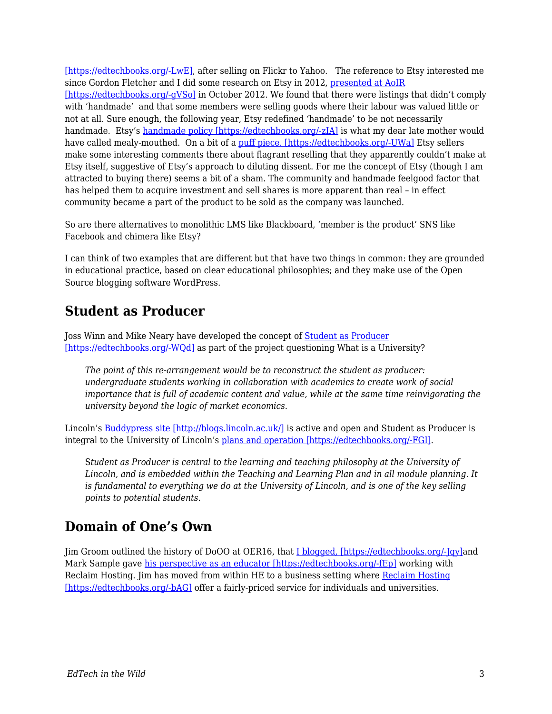[\[https://edtechbooks.org/-LwE\],](https://www.crunchbase.com/person/stewart-butterfield/investments) after selling on Flickr to Yahoo. The reference to Etsy interested me since Gordon Fletcher and I did some research on Etsy in 2012, [presented at AoIR](https://prezi.com/zijoozxwtn_a/the-meaning-of-making-mixing-craft-and-industrial-processes-in-social-e-commerce/) [\[https://edtechbooks.org/-gVSo\]](https://prezi.com/zijoozxwtn_a/the-meaning-of-making-mixing-craft-and-industrial-processes-in-social-e-commerce/) in October 2012. We found that there were listings that didn't comply with 'handmade' and that some members were selling goods where their labour was valued little or not at all. Sure enough, the following year, Etsy redefined 'handmade' to be not necessarily handmade. Etsy's [handmade policy \[https://edtechbooks.org/-zIA\]](https://www.etsy.com/uk/legal/handmade) is what my dear late mother would have called mealy-mouthed. On a bit of a [puff piece, \[https://edtechbooks.org/-UWa\]](https://gigaom.com/2013/08/23/meet-the-man-behind-new-yorks-other-billion-dollar-internet-company-this-one-makes-money/) Etsy sellers make some interesting comments there about flagrant reselling that they apparently couldn't make at Etsy itself, suggestive of Etsy's approach to diluting dissent. For me the concept of Etsy (though I am attracted to buying there) seems a bit of a sham. The community and handmade feelgood factor that has helped them to acquire investment and sell shares is more apparent than real – in effect community became a part of the product to be sold as the company was launched.

So are there alternatives to monolithic LMS like Blackboard, 'member is the product' SNS like Facebook and chimera like Etsy?

I can think of two examples that are different but that have two things in common: they are grounded in educational practice, based on clear educational philosophies; and they make use of the Open Source blogging software WordPress.

### **Student as Producer**

Joss Winn and Mike Neary have developed the concept of **[Student as Producer](http://eprints.lincoln.ac.uk/1675/1/Future_of_HE_-_Chapter_10.pdf)** [\[https://edtechbooks.org/-WQd\]](http://eprints.lincoln.ac.uk/1675/1/Future_of_HE_-_Chapter_10.pdf) as part of the project questioning What is a University?

*The point of this re-arrangement would be to reconstruct the student as producer: undergraduate students working in collaboration with academics to create work of social importance that is full of academic content and value, while at the same time reinvigorating the university beyond the logic of market economics.*

Lincoln's [Buddypress site \[http://blogs.lincoln.ac.uk/\]](http://blogs.lincoln.ac.uk/) is active and open and Student as Producer is integral to the University of Lincoln's [plans and operation \[https://edtechbooks.org/-FGI\]](http://edeu.lincoln.ac.uk/student-as-producer/).

S*tudent as Producer is central to the learning and teaching philosophy at the University of Lincoln, and is embedded within the Teaching and Learning Plan and in all module planning. It is fundamental to everything we do at the University of Lincoln, and is one of the key selling points to potential students.*

# **Domain of One's Own**

Jim Groom outlined the history of DoOO at OER16, that [I blogged, \[https://edtechbooks.org/-Jqy\]a](http://francesbell.com/bellblog/oer16-can-we-imagine-tech-infrastructure-as-an-open-educational-resource-or-clouds-containers-and-apis-oh-my/)nd Mark Sample gave [his perspective as an educator \[https://edtechbooks.org/-fEp\]](http://chronicle.com/blogs/profhacker/teaching-a-domain-of-ones-own-with-reclaim-hosting/52279) working with Reclaim Hosting. Jim has moved from within HE to a business setting where [Reclaim Hosting](https://reclaimhosting.com/about/) [\[https://edtechbooks.org/-bAG\]](https://reclaimhosting.com/about/) offer a fairly-priced service for individuals and universities.